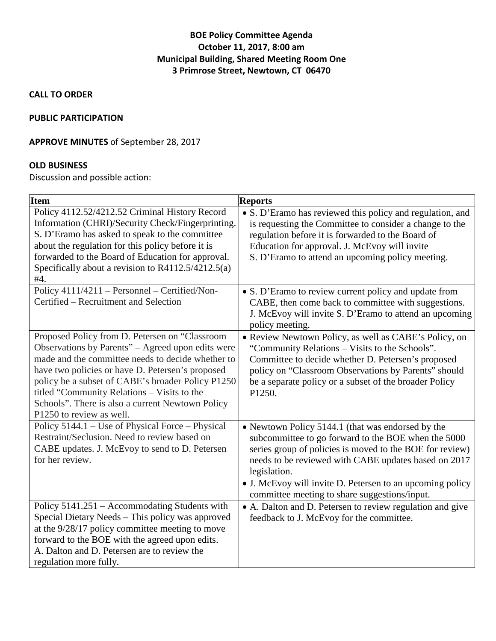# **BOE Policy Committee Agenda October 11, 2017, 8:00 am Municipal Building, Shared Meeting Room One 3 Primrose Street, Newtown, CT 06470**

**CALL TO ORDER**

#### **PUBLIC PARTICIPATION**

### **APPROVE MINUTES** of September 28, 2017

### **OLD BUSINESS**

Discussion and possible action:

| <b>Item</b>                                                                                                                                                                                                                                                                                                                                                                                      | <b>Reports</b>                                                                                                                                                                                                                                                                                                                                             |
|--------------------------------------------------------------------------------------------------------------------------------------------------------------------------------------------------------------------------------------------------------------------------------------------------------------------------------------------------------------------------------------------------|------------------------------------------------------------------------------------------------------------------------------------------------------------------------------------------------------------------------------------------------------------------------------------------------------------------------------------------------------------|
| Policy 4112.52/4212.52 Criminal History Record<br>Information (CHRI)/Security Check/Fingerprinting.<br>S. D'Eramo has asked to speak to the committee<br>about the regulation for this policy before it is<br>forwarded to the Board of Education for approval.<br>Specifically about a revision to $R4112.5/4212.5(a)$<br>#4.                                                                   | • S. D'Eramo has reviewed this policy and regulation, and<br>is requesting the Committee to consider a change to the<br>regulation before it is forwarded to the Board of<br>Education for approval. J. McEvoy will invite<br>S. D'Eramo to attend an upcoming policy meeting.                                                                             |
| Policy 4111/4211 - Personnel - Certified/Non-<br>Certified - Recruitment and Selection                                                                                                                                                                                                                                                                                                           | • S. D'Eramo to review current policy and update from<br>CABE, then come back to committee with suggestions.<br>J. McEvoy will invite S. D'Eramo to attend an upcoming<br>policy meeting.                                                                                                                                                                  |
| Proposed Policy from D. Petersen on "Classroom<br>Observations by Parents" – Agreed upon edits were<br>made and the committee needs to decide whether to<br>have two policies or have D. Petersen's proposed<br>policy be a subset of CABE's broader Policy P1250<br>titled "Community Relations - Visits to the<br>Schools". There is also a current Newtown Policy<br>P1250 to review as well. | · Review Newtown Policy, as well as CABE's Policy, on<br>"Community Relations - Visits to the Schools".<br>Committee to decide whether D. Petersen's proposed<br>policy on "Classroom Observations by Parents" should<br>be a separate policy or a subset of the broader Policy<br>P1250.                                                                  |
| Policy 5144.1 – Use of Physical Force – Physical<br>Restraint/Seclusion. Need to review based on<br>CABE updates. J. McEvoy to send to D. Petersen<br>for her review.                                                                                                                                                                                                                            | • Newtown Policy 5144.1 (that was endorsed by the<br>subcommittee to go forward to the BOE when the 5000<br>series group of policies is moved to the BOE for review)<br>needs to be reviewed with CABE updates based on 2017<br>legislation.<br>• J. McEvoy will invite D. Petersen to an upcoming policy<br>committee meeting to share suggestions/input. |
| Policy 5141.251 - Accommodating Students with<br>Special Dietary Needs - This policy was approved<br>at the 9/28/17 policy committee meeting to move<br>forward to the BOE with the agreed upon edits.<br>A. Dalton and D. Petersen are to review the<br>regulation more fully.                                                                                                                  | • A. Dalton and D. Petersen to review regulation and give<br>feedback to J. McEvoy for the committee.                                                                                                                                                                                                                                                      |